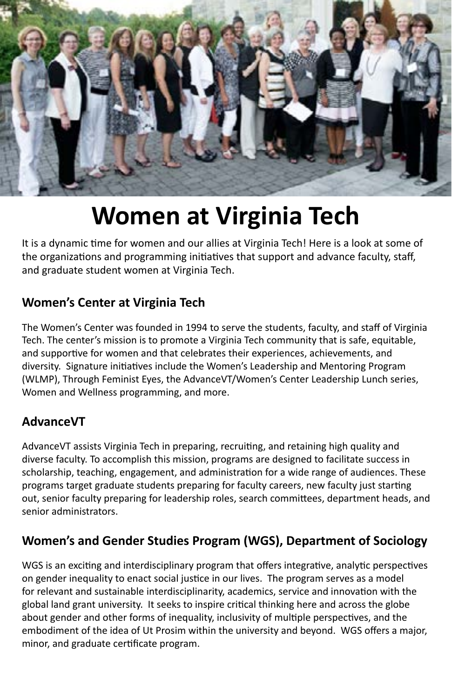

# **Women at Virginia Tech**

It is a dynamic time for women and our allies at Virginia Tech! Here is a look at some of the organizations and programming initiatives that support and advance faculty, staff, and graduate student women at Virginia Tech.

# **Women's Center at Virginia Tech**

The Women's Center was founded in 1994 to serve the students, faculty, and staff of Virginia Tech. The center's mission is to promote a Virginia Tech community that is safe, equitable, and supportive for women and that celebrates their experiences, achievements, and diversity. Signature initiatives include the Women's Leadership and Mentoring Program (WLMP), Through Feminist Eyes, the AdvanceVT/Women's Center Leadership Lunch series, Women and Wellness programming, and more.

## **AdvanceVT**

AdvanceVT assists Virginia Tech in preparing, recruiting, and retaining high quality and diverse faculty. To accomplish this mission, programs are designed to facilitate success in scholarship, teaching, engagement, and administration for a wide range of audiences. These programs target graduate students preparing for faculty careers, new faculty just starting out, senior faculty preparing for leadership roles, search committees, department heads, and senior administrators.

## **Women's and Gender Studies Program (WGS), Department of Sociology**

WGS is an exciting and interdisciplinary program that offers integrative, analytic perspectives on gender inequality to enact social justice in our lives. The program serves as a model for relevant and sustainable interdisciplinarity, academics, service and innovation with the global land grant university. It seeks to inspire critical thinking here and across the globe about gender and other forms of inequality, inclusivity of multiple perspectives, and the embodiment of the idea of Ut Prosim within the university and beyond. WGS offers a major, minor, and graduate certificate program.